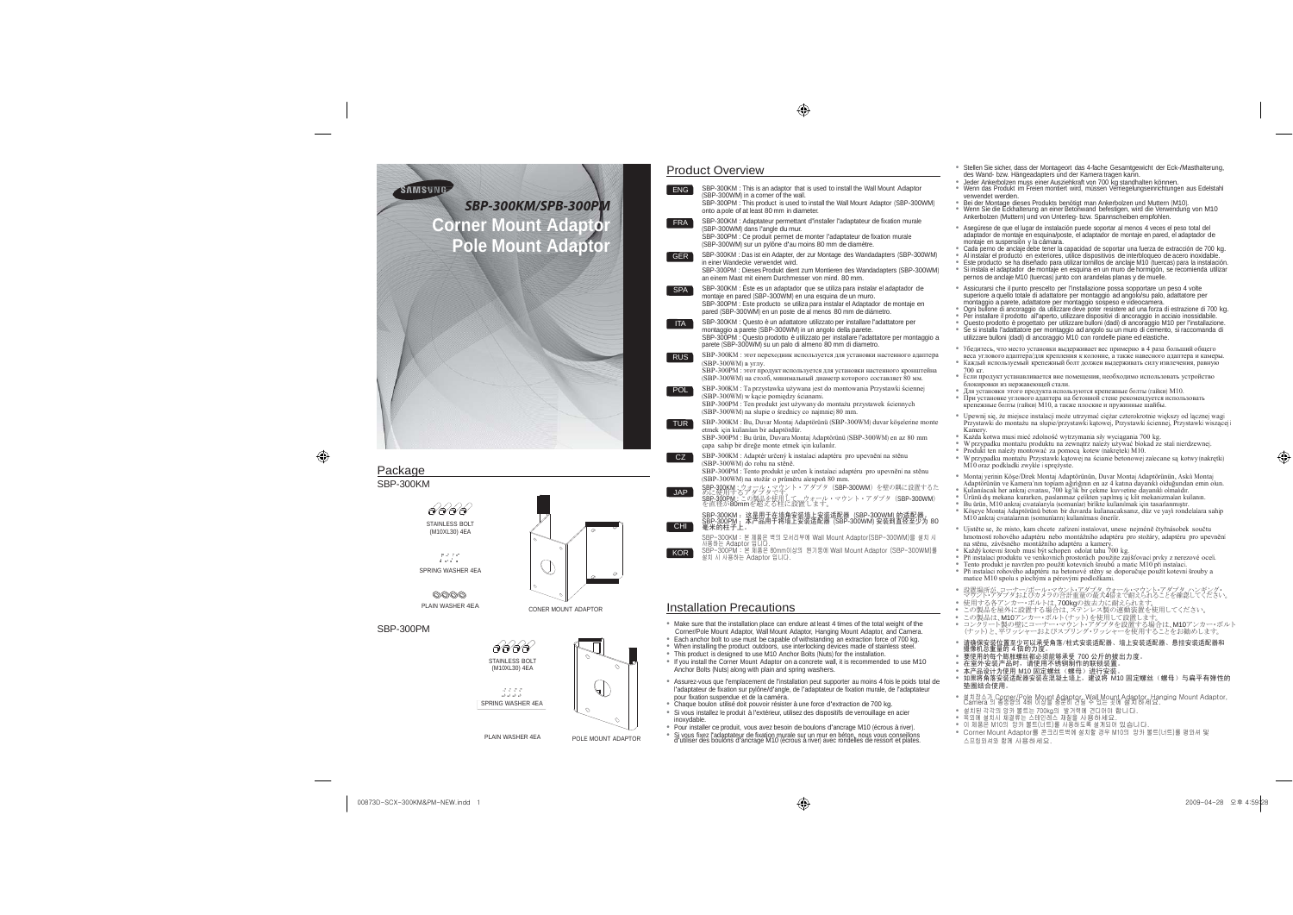00873D-SCX-300KM&PM-NEW.indd 1

◈

• Stellen Sie sicher, dass der Montageort das 4-fache Gesamtgewicht der Eck-/Masthalterung, des Wand- bzw. Hängeadapters und der Kamera tragen kann.<br>● Jeder Ankerbolzen muss einer Ausziehkraft von 700 kg standhalten können.<br>● Wenn das Produkt im Freien montiert wird, müssen Verriegelungseinrichtungen aus Edelsta

erwendet werden.

® Bei der Montage dieses Produkts benötigt man Ankerbolzen und Muttern (M10).<br>® Wenn Sie die Eckhalterung an einer Betonwand befestigen, wird die Verwendung von M10<br>● Ankerbolzen (Muttern) und von Unterleg- bzw. Spannsche





# **Product Overview** SBP-300KM : This is an adaptor that is used to install the Wall Mount Adaptor

SBP-300KM



• Asegúrese de que el lugar de instalación puede soportar al menos 4 veces el peso total del daptador de montaje en esquina/poste, el adaptador de montaje en pared, el adaptador de montaje en suspensión y la cámara.<br>Ontaje en suspensión y la cámara.

® Cada perno de anclaje debe tener la capacidad de soportar una fuerza de extracción de 700 kg.<br>® Al instalar el producto en exteriores, utilice dispositivos de interbloqueo de acero inoxidable.<br>® Este producto se ha dise • Si instala el adaptador de montaje en esquina en un muro de hormigón, se recomienda utilizar pernos de anclaje M10 (tuercas) junto con arandelas planas y de muelle.

® Ogni bullone di ancoraggio da utilizzare deve poter resistere ad una forza di estrazione di 700 kg.<br>® Per installare il prodotto all'aperto, utilizzare dispositivi di ancoraggio in acciaio inossidabile.<br>® Questo prodot • Se si installa l'adattatore per montaggio ad angolo su un muro di cemento, si raccomanda di utilizzare bulloni (dadi) di ancoraggio M10 con rondelle piane ed elastiche.

–<br>Белитесь, что место установки вылерживает вес примерно в 4 раза больший общего веса углового адаптера/для крепления <sup>к</sup> колонне, <sup>а</sup> также навесного адаптера <sup>и</sup> камеры. • Каждый используемый крепежный болт должен выдерживать силу извлечения, равную  $0<sub>Kr</sub>$ 

• Montaj yerinin Köşe/Direk Montaj Adaptörünün, Duvar Montaj Adaptörünün, Askılı Montaj Adaptörünün ve Kamera'nın toplam ağırlığının en az 4 katına dayanıklı olduğundan emin olun.<br>® Kullanılacak her ankraj cıvatası, 700 kg'lik bir çekme kuvvetine dayanıklı olmalıdır.<br>® Ürünü dış mekana kurarken, paslanmaz çel



| ENG 1             | SBP-300KM : This is an adaptor that is used to install the Wall Mount Adaptor<br>(SBP-300WM) in a corner of the wall.                                                                                                                                                                            |                                   |
|-------------------|--------------------------------------------------------------------------------------------------------------------------------------------------------------------------------------------------------------------------------------------------------------------------------------------------|-----------------------------------|
|                   | SBP-300PM : This product is used to install the Wall Mount Adaptor (SBP-300WM)<br>onto a pole of at least 80 mm in diameter.                                                                                                                                                                     | • Be                              |
| <b>FRA</b>        | SBP-300KM : Adaptateur permettant d'installer l'adaptateur de fixation murale<br>(SBP-300WM) dans l'angle du mur.<br>SBP-300PM : Ce produit permet de monter l'adaptateur de fixation murale<br>(SBP-300WM) sur un pylône d'au moins 80 mm de diamètre.                                          |                                   |
| <b>GER</b>        | SBP-300KM : Das ist ein Adapter, der zur Montage des Wandadapters (SBP-300WM)<br>in einer Wandecke verwendet wird.<br>SBP-300PM : Dieses Produkt dient zum Montieren des Wandadapters (SBP-300WM)<br>an einem Mast mit einem Durchmesser von mind. 80 mm.                                        | ٠                                 |
| <b>SPA</b>        | SBP-300KM : Este es un adaptador que se utiliza para instalar el adaptador de<br>montaje en pared (SBP-300WM) en una esquina de un muro.<br>SBP-300PM : Este producto se utiliza para instalar el Adaptador de montaje en<br>pared (SBP-300WM) en un poste de al menos 80 mm de diámetro.        | ٠                                 |
| <b>ITA</b>        | SBP-300KM : Questo è un adattatore utilizzato per installare l'adattatore per<br>montaggio a parete (SBP-300WM) in un angolo della parete.<br>SBP-300PM : Questo prodotto è utilizzato per installare l'adattatore per montaggio a<br>parete (SBP-300WM) su un palo di almeno 80 mm di diametro. |                                   |
| <b>RUS</b>        | SBP-300KM : этот переходник используется для установки настенного адаптера<br>$(SBP-300WM)$ в углу.<br>SBP-300PM : этот продукт используется для установки настенного кронштейна<br>(SBP-300WM) на столб, минимальный диаметр которого составляет 80 мм.                                         | ٠                                 |
| POL.              | SBP-300KM : Ta przystawka używana jest do montowania Przystawki ściennej<br>(SBP-300WM) w kącie pomiędzy ścianami.<br>SBP-300PM : Ten produkt jest używany do montażu przystawek ściennych<br>(SBP-300WM) na slupie o średnicy co najmniej 80 mm.                                                |                                   |
| <b>TUR</b>        | SBP-300KM : Bu, Duvar Montaj Adaptörünü (SBP-300WM) duvar köşelerine monte<br>etmek için kullanılan bir adaptördür.<br>SBP-300PM : Bu ürün, Duvara Montaj Adaptörünü (SBP-300WM) en az 80 mm<br>capa sahip bir direğe monte etmek için kullanılır.                                               | $\bullet$<br>۰<br>٠               |
| CZ.<br><b>JAP</b> | SBP-300KM : Adaptér určený k instalaci adaptéru pro upevnění na stěnu<br>(SBP-300WM) do rohu na stěně.<br>SBP-300PM : Tento produkt je určen k instalaci adaptéru pro upevnění na stěnu<br>(SBP-300WM) na stožár o průměru alespoň 80 mm.                                                        | ٠<br>٠<br>٠                       |
|                   | SBP-300KM : ウォール・マウント・アダプタ(SBP-300WM)を壁の隅に設置するた<br>めに使用するアダプタです<br>SBP-300PM : この製品を使用して、ウォール・マウント・アダプタ(SBP-300WM)<br>を直径が80mmを超える柱に設置します。                                                                                                                                                       | $\bullet$ Ur<br>$\bullet$ Bu<br>٠ |
| CHI.              | SBP-300KM :这是用于在墙角安装墙上安装适配器(SBP-300WM) 的适配器。<br>SBP-300PM :本产品用于将墙上安装适配器(SBP-300WM) 安装到直径至少为 80<br>毫米的柱子上。                                                                                                                                                                                       |                                   |
|                   | SBP-300KM : 본 제품은 벽의 모서리부에 Wall Mount Adaptor(SBP-300WM)을 설치 시<br>사용하는 Adaptor 입니다.<br>SBP-300PM : 본 제품은 80mm이상의 원기둥에 Wall Mount Adaptor (SBP-300WM)를                                                                                                                                            |                                   |
| KOR.              | 설치 시 사용하는 Adaptor 입니다.                                                                                                                                                                                                                                                                           | ٠<br>٠                            |
|                   | <b>Installation Precautions</b>                                                                                                                                                                                                                                                                  |                                   |
|                   | • Make sure that the installation place can endure at least 4 times of the total weight of the                                                                                                                                                                                                   | ٠<br>٠                            |
|                   | Corner/Pole Mount Adaptor, Wall Mount Adaptor, Hanging Mount Adaptor, and Camera.<br>Each anchor bolt to use must be capable of withstanding an extraction force of 700 kg.                                                                                                                      |                                   |



• Assicurarsi che il punto prescelto per l'installazione possa sopportare un peso 4 volte superiore a quello totale di adattatore per montaggio ad angolo/su palo, adattatore per montaggio a parete, adattatore per montaggio sospeso e videocamera.

● 在室外安装产品时,请使用不锈钢制作的联锁装置。<br>● 本产品设计为使用 M10 固定螺丝(螺母)进行安装。<br>● 如果将角落安装适配器安装在混凝土墙上,建议将 M10 固定螺丝(螺母)与扁平有弹性的 垫圈结合使用。

• 설치장소가 Corner/Pole Mount Adaptor, Wall Mount Adaptor, Hanging Mount Adaptor,<br>Camera 의 총중량의 4배 이상을 충분히 견딜 수 있는 곳에 설치하세요.

● 설치된 각각의 앙카 볼트는 700kg의 발거력에 견디어야 합니다.<br>● 옥외에 설치시 체결류는 스테인레스 재질을 사용하세요.<br>● 이 제품은 M10의 앙카 볼트(너트)를 사용하도록 설계되어 있습니다.<br>● Corner Mount Adaptor를 콘크리트벽에 설치할 경우 M10의 앙카 볼트(너트)를 평와셔 및

 $\bigoplus$  2009-04-28  $\Omega \cong 4:59^{128}$ 

◈

 • Если продукт устанавливается вне помещения, необходимо использовать устройство блокировки из нержавеющей стали. • Для установки этого продукта используются крепежные болты (гайки) M10.

• При установке углового адаптера на бетонной стене рекомендуется использовать крепежные болты (гайки) M10, <sup>а</sup> также плоские <sup>и</sup> пружинные шайбы.

• Upewnij się, że miejsce instalacji może utrzymać ciężar czterokrotnie większy od łącznej wagi Przystawki do montażu na słupie/przystawki kątowej, Przystawki ściennej, Przystawki wiszącej i

Kamery.<br>
• Każda kotwa musi mieć zdolność wytrzymania siły wyciągania 700 kg.<br>
• W przypadku montażu produktu na zewnątrz należy używać blokad ze stali nierdzewnej.<br>
• Produkt ten należy montować za pomocą kotew (nakrętek)

• Köşeye Montaj Adaptörünü beton bir duvarda kullanacaksanız, düz ve yaylı rondelalara sahip M10 ankraj cıvatalarının (somunların) kullanılması önerilir.

• Ujistěte se, že místo, kam chcete zařízení instalovat, unese nejméně čtyřnásobek součtu hmotností rohového adaptéru nebo montážního adaptéru pro stožáry, adaptéru pro upevnění

na stěnu, závěsného montážního adaptéru a kamery.<br>® Každý kotevní šroub musí být schopen odolat tahu 700 kg.<br>® Při instalaci produktu ve venkovních prostorách použijte zajišťovací prvky z nerezové oceli.<br>® Tento produkt j instalaci rohového adaptéru na betonové stěny se doporučuje použít kotevní šrouby a matice M10 spolu s plochými a pérovými podložkami.

● 設置場所が、コーナー/ポール・マウント・アダプト・マウント・アダプタ、ハンギング・<br>● 使用する各アンカー・ボルトは、700kgの抜去力に耐えられることを確認してください。<br>● 使用する各アンカー・ボルトは、700kgの抜去力に耐えられます。<br>● この製品を屋外に設置する場合は、ステンレス製の連動装置を使用してください。<br>● この製品は、M10アンカー・ボー・マウント・アダプタを設置する場合は、M10アンカー・ボルト<br>● コンクリ

● 请确保安装位置至少可以承受角落∕柱式安装适配器、墙上安装适配器、悬挂安装适配器和<br>- 摄像机总重量的 4 倍的力度。<br>● 要使用的每个膨胀螺丝都必须能够承受 700 公斤的拔出力度。

## SBP-300PM





- Make sure that the installation place can endure at least 4 times of the total weight of the
- Each anchor bolt to use must be capable of withstanding an extraction force of 700 kg. When installing the product outdoors, use interlocking devices made of stainless steel.
- 
- This product is designed to use M10 Anchor Bolts (Nuts) for the installation. If you install the Corner Mount Adaptor on a concrete wall, it is recommended to use M10 Anchor Bolts (Nuts) along with plain and spring washers.
- Assurez-vous que l'emplacement de l'installation peut supporter au moins 4 fois le poids total de l'adaptateur de fixation sur pylône/d'angle, de l'adaptateur de fixation murale, de l'adaptateur
- pour fixation suspendue et de la caméra. Chaque boulon utilisé doit pouvoir résister à une force d'extraction de 700 kg. • Si vous installez le produit à l'extérieur, utilisez des dispositifs de verrouillage en acier inoxydable.
- Pour installer ce produit, vous avez besoin de boulons d'ancrage M10 (écrous à river). • Si vous fixez l'adaptateur de fixation murale sur un mur en béton, nous vous conseillons PLAIN WASHER 4EA d'utiliser des boulons d'ancrage M10 (écrous à river) avec rondelles de ressort et plates. 스프링와셔와 함께 사용하세요.